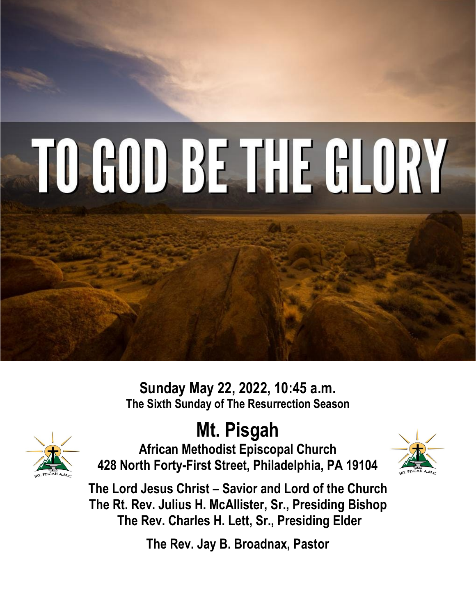# TO GOD BE THE GLORY

**Sunday May 22, 2022, 10:45 a.m. The Sixth Sunday of The Resurrection Season**



**Mt. Pisgah** 

**African Methodist Episcopal Church 428 North Forty-First Street, Philadelphia, PA 19104**



**The Lord Jesus Christ – Savior and Lord of the Church The Rt. Rev. Julius H. McAllister, Sr., Presiding Bishop The Rev. Charles H. Lett, Sr., Presiding Elder**

**The Rev. Jay B. Broadnax, Pastor**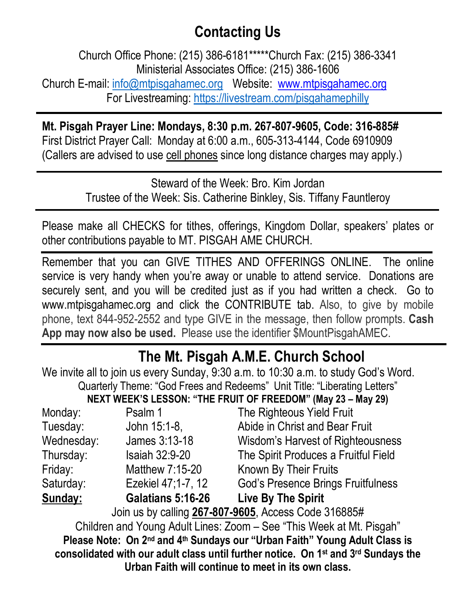### **Contacting Us**

Church Office Phone: (215) 386-6181\*\*\*\*\*Church Fax: (215) 386-3341 Ministerial Associates Office: (215) 386-1606 Church E-mail: [info@mtpisgahamec.org](mailto:info@mtpisgahamec.org) Website: www.mtpisgahamec.org For Livestreaming:<https://livestream.com/pisgahamephilly>

**Mt. Pisgah Prayer Line: Mondays, 8:30 p.m. 267-807-9605, Code: 316-885#** First District Prayer Call: Monday at 6:00 a.m., 605-313-4144, Code 6910909 (Callers are advised to use cell phones since long distance charges may apply.)

> Steward of the Week: Bro. Kim Jordan Trustee of the Week: Sis. Catherine Binkley, Sis. Tiffany Fauntleroy

Please make all CHECKS for tithes, offerings, Kingdom Dollar, speakers' plates or other contributions payable to MT. PISGAH AME CHURCH.

Remember that you can GIVE TITHES AND OFFERINGS ONLINE. The online service is very handy when you're away or unable to attend service. Donations are securely sent, and you will be credited just as if you had written a check. Go to www.mtpisgahamec.org and click the CONTRIBUTE tab. Also, to give by mobile phone, text 844-952-2552 and type GIVE in the message, then follow prompts. **Cash App may now also be used.** Please use the identifier \$MountPisgahAMEC.

#### **The Mt. Pisgah A.M.E. Church School**

We invite all to join us every Sunday, 9:30 a.m. to 10:30 a.m. to study God's Word. Quarterly Theme: "God Frees and Redeems" Unit Title: "Liberating Letters" **NEXT WEEK'S LESSON: "THE FRUIT OF FREEDOM" (May 23 – May 29)**  Monday: Psalm 1 The Righteous Yield Fruit Tuesday: John 15:1-8, Abide in Christ and Bear Fruit Wednesday: James 3:13-18 Wisdom's Harvest of Righteousness Thursday: Isaiah 32:9-20 The Spirit Produces a Fruitful Field Friday: Matthew 7:15-20 Known By Their Fruits Saturday: Ezekiel 47;1-7, 12 God's Presence Brings Fruitfulness **Sunday: Galatians 5:16-26 Live By The Spirit** Join us by calling **267-807-9605**, Access Code 316885# Children and Young Adult Lines: Zoom – See "This Week at Mt. Pisgah" **Please Note: On 2nd and 4th Sundays our "Urban Faith" Young Adult Class is consolidated with our adult class until further notice. On 1st and 3rd Sundays the Urban Faith will continue to meet in its own class.**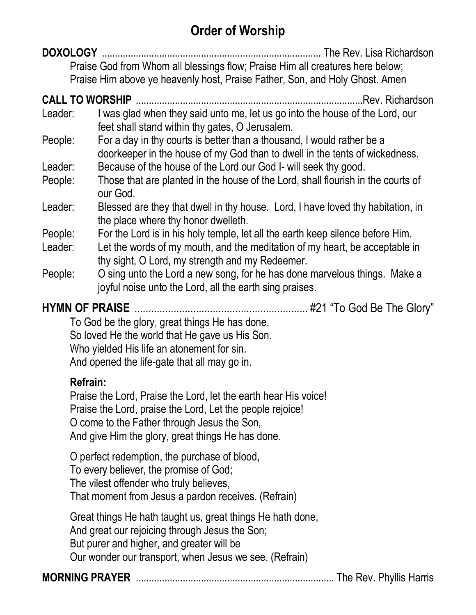#### **Order of Worship**

**DOXOLOGY** .................................................................................... The Rev. Lisa Richardson Praise God from Whom all blessings flow; Praise Him all creatures here below; Praise Him above ye heavenly host, Praise Father, Son, and Holy Ghost. Amen

#### **CALL TO WORSHIP** .......................................................................................Rev. Richardson

- Leader: I was glad when they said unto me, let us go into the house of the Lord, our feet shall stand within thy gates, O Jerusalem.
- People: For a day in thy courts is better than a thousand, I would rather be a doorkeeper in the house of my God than to dwell in the tents of wickedness.
- Leader: Because of the house of the Lord our God I- will seek thy good.
- People: Those that are planted in the house of the Lord, shall flourish in the courts of our God.
- Leader: Blessed are they that dwell in thy house. Lord, I have loved thy habitation, in the place where thy honor dwelleth.
- People: For the Lord is in his holy temple, let all the earth keep silence before Him.
- Leader: Let the words of my mouth, and the meditation of my heart, be acceptable in thy sight, O Lord, my strength and my Redeemer.
- People: O sing unto the Lord a new song, for he has done marvelous things. Make a joyful noise unto the Lord, all the earth sing praises.

**HYMN OF PRAISE** .............................................................. #21 "To God Be The Glory"

To God be the glory, great things He has done. So loved He the world that He gave us His Son. Who yielded His life an atonement for sin. And opened the life-gate that all may go in.

#### **Refrain:**

Praise the Lord, Praise the Lord, let the earth hear His voice! Praise the Lord, praise the Lord, Let the people rejoice! O come to the Father through Jesus the Son, And give Him the glory, great things He has done.

O perfect redemption, the purchase of blood, To every believer, the promise of God; The vilest offender who truly believes, That moment from Jesus a pardon receives. (Refrain)

Great things He hath taught us, great things He hath done, And great our rejoicing through Jesus the Son; But purer and higher, and greater will be Our wonder our transport, when Jesus we see. (Refrain)

**MORNING PRAYER** ............................................................................ The Rev. Phyllis Harris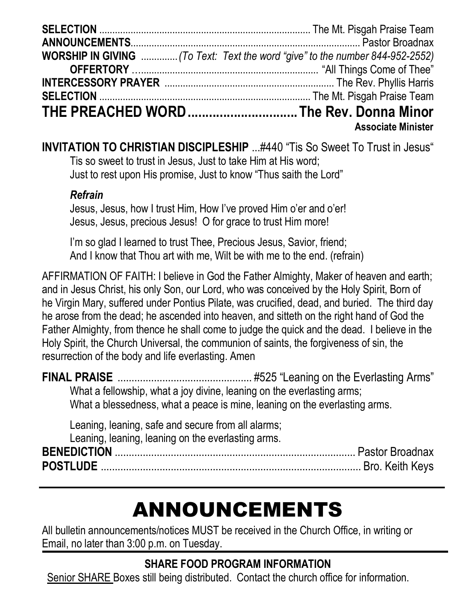| <b>WORSHIP IN GIVING</b> (To Text: Text the word "give" to the number 844-952-2552) |
|-------------------------------------------------------------------------------------|
|                                                                                     |
|                                                                                     |
|                                                                                     |
| THE PREACHED WORD The Rev. Donna Minor                                              |
| <b>Associate Minister</b>                                                           |

**INVITATION TO CHRISTIAN DISCIPLESHIP** ...#440 "Tis So Sweet To Trust in Jesus" Tis so sweet to trust in Jesus, Just to take Him at His word; Just to rest upon His promise, Just to know "Thus saith the Lord"

#### *Refrain*

Jesus, Jesus, how I trust Him, How I've proved Him o'er and o'er! Jesus, Jesus, precious Jesus! O for grace to trust Him more!

I'm so glad I learned to trust Thee, Precious Jesus, Savior, friend; And I know that Thou art with me, Wilt be with me to the end. (refrain)

AFFIRMATION OF FAITH: I believe in God the Father Almighty, Maker of heaven and earth; and in Jesus Christ, his only Son, our Lord, who was conceived by the Holy Spirit, Born of he Virgin Mary, suffered under Pontius Pilate, was crucified, dead, and buried. The third day he arose from the dead; he ascended into heaven, and sitteth on the right hand of God the Father Almighty, from thence he shall come to judge the quick and the dead. I believe in the Holy Spirit, the Church Universal, the communion of saints, the forgiveness of sin, the resurrection of the body and life everlasting. Amen

| What a fellowship, what a joy divine, leaning on the everlasting arms; |                                                                            |
|------------------------------------------------------------------------|----------------------------------------------------------------------------|
|                                                                        | What a blessedness, what a peace is mine, leaning on the everlasting arms. |

Leaning, leaning, safe and secure from all alarms; Leaning, leaning, leaning on the everlasting arms. **BENEDICTION** ...................................................................................... Pastor Broadnax **POSTLUDE** ............................................................................................. Bro. Keith Keys

## ANNOUNCEMENTS

All bulletin announcements/notices MUST be received in the Church Office, in writing or Email, no later than 3:00 p.m. on Tuesday.

#### **SHARE FOOD PROGRAM INFORMATION**

Senior SHARE Boxes still being distributed. Contact the church office for information.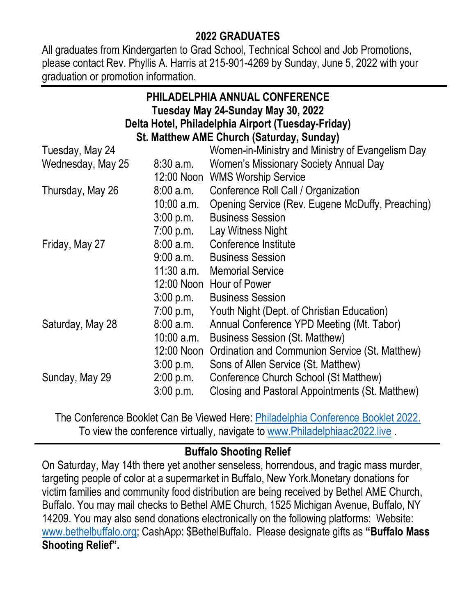#### **2022 GRADUATES**

All graduates from Kindergarten to Grad School, Technical School and Job Promotions, please contact Rev. Phyllis A. Harris at 215-901-4269 by Sunday, June 5, 2022 with your graduation or promotion information.

| PHILADELPHIA ANNUAL CONFERENCE                     |                     |                                                  |  |
|----------------------------------------------------|---------------------|--------------------------------------------------|--|
| Tuesday May 24-Sunday May 30, 2022                 |                     |                                                  |  |
| Delta Hotel, Philadelphia Airport (Tuesday-Friday) |                     |                                                  |  |
| St. Matthew AME Church (Saturday, Sunday)          |                     |                                                  |  |
| Tuesday, May 24                                    |                     | Women-in-Ministry and Ministry of Evangelism Day |  |
| Wednesday, May 25                                  | 8:30 a.m.           | Women's Missionary Society Annual Day            |  |
|                                                    |                     | 12:00 Noon WMS Worship Service                   |  |
| Thursday, May 26                                   | 8:00a.m.            | Conference Roll Call / Organization              |  |
|                                                    | $10:00$ a.m.        | Opening Service (Rev. Eugene McDuffy, Preaching) |  |
|                                                    | 3:00 p.m.           | <b>Business Session</b>                          |  |
|                                                    | 7:00 p.m.           | Lay Witness Night                                |  |
| Friday, May 27                                     | 8:00 a.m.           | Conference Institute                             |  |
|                                                    | 9:00 a.m.           | <b>Business Session</b>                          |  |
|                                                    |                     | 11:30 a.m. Memorial Service                      |  |
|                                                    |                     | 12:00 Noon Hour of Power                         |  |
|                                                    | $3:00 \text{ p.m.}$ | <b>Business Session</b>                          |  |
|                                                    | 7:00 p.m,           | Youth Night (Dept. of Christian Education)       |  |
| Saturday, May 28                                   | 8:00 a.m.           | Annual Conference YPD Meeting (Mt. Tabor)        |  |
|                                                    | $10:00$ a.m.        | <b>Business Session (St. Matthew)</b>            |  |
|                                                    | 12:00 Noon          | Ordination and Communion Service (St. Matthew)   |  |
|                                                    | 3:00 p.m.           | Sons of Allen Service (St. Matthew)              |  |
| Sunday, May 29                                     | $2:00$ p.m.         | Conference Church School (St Matthew)            |  |
|                                                    | $3:00$ p.m.         | Closing and Pastoral Appointments (St. Matthew)  |  |

The Conference Booklet Can Be Viewed Here: [Philadelphia Conference Booklet 2022.](https://drive.google.com/file/d/1YJvbZ5zOuANk5_PUskz0vNz5QseE1sad/view?usp=sharing) To view the conference virtually, navigate to [www.Philadelphiaac2022.live](http://www.philadelphiaac2022.live/) .

#### **Buffalo Shooting Relief**

On Saturday, May 14th there yet another senseless, horrendous, and tragic mass murder, targeting people of color at a supermarket in Buffalo, New York.Monetary donations for victim families and community food distribution are being received by Bethel AME Church, Buffalo. You may mail checks to Bethel AME Church, 1525 Michigan Avenue, Buffalo, NY 14209. You may also send donations electronically on the following platforms: Website: [www.bethelbuffalo.org;](http://www.bethelbuffalo.org/) CashApp: \$BethelBuffalo. Please designate gifts as **"Buffalo Mass Shooting Relief".**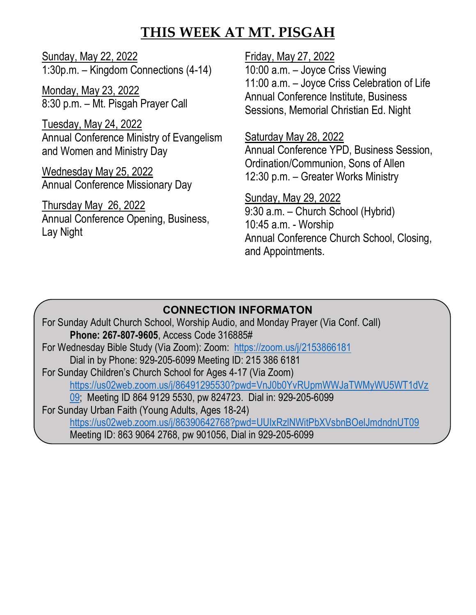#### **THIS WEEK AT MT. PISGAH**

Sunday, May 22, 2022 1:30p.m. – Kingdom Connections (4-14)

Monday, May 23, 2022 8:30 p.m. – Mt. Pisgah Prayer Call

Tuesday, May 24, 2022 Annual Conference Ministry of Evangelism and Women and Ministry Day

Wednesday May 25, 2022 Annual Conference Missionary Day

Thursday May 26, 2022 Annual Conference Opening, Business, Lay Night

Friday, May 27, 2022 10:00 a.m. – Joyce Criss Viewing 11:00 a.m. – Joyce Criss Celebration of Life Annual Conference Institute, Business Sessions, Memorial Christian Ed. Night

Saturday May 28, 2022

Annual Conference YPD, Business Session, Ordination/Communion, Sons of Allen 12:30 p.m. – Greater Works Ministry

Sunday, May 29, 2022 9:30 a.m. – Church School (Hybrid) 10:45 a.m. - Worship Annual Conference Church School, Closing, and Appointments.

#### **CONNECTION INFORMATON**

For Sunday Adult Church School, Worship Audio, and Monday Prayer (Via Conf. Call) **Phone: 267-807-9605**, Access Code 316885# For Wednesday Bible Study (Via Zoom): Zoom: <https://zoom.us/j/2153866181> Dial in by Phone: 929-205-6099 Meeting ID: 215 386 6181 For Sunday Children's Church School for Ages 4-17 (Via Zoom) [https://us02web.zoom.us/j/86491295530?pwd=VnJ0b0YvRUpmWWJaTWMyWU5WT1dVz](https://us02web.zoom.us/j/86491295530?pwd=VnJ0b0YvRUpmWWJaTWMyWU5WT1dVz09) [09;](https://us02web.zoom.us/j/86491295530?pwd=VnJ0b0YvRUpmWWJaTWMyWU5WT1dVz09) Meeting ID 864 9129 5530, pw 824723. Dial in: 929-205-6099 For Sunday Urban Faith (Young Adults, Ages 18-24) <https://us02web.zoom.us/j/86390642768?pwd=UUIxRzlNWitPbXVsbnBOelJmdndnUT09> Meeting ID: 863 9064 2768, pw 901056, Dial in 929-205-6099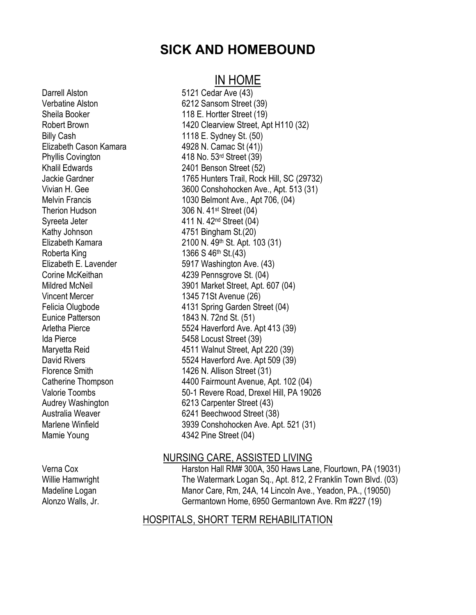#### **SICK AND HOMEBOUND**

#### IN HOME

Darrell Alston 5121 Cedar Ave (43) Verbatine Alston 6212 Sansom Street (39) Sheila Booker 118 E. Hortter Street (19) Billy Cash 1118 E. Sydney St. (50) Elizabeth Cason Kamara 4928 N. Camac St (41)) Phyllis Covington 418 No. 53rd Street (39) Khalil Edwards 2401 Benson Street (52) Therion Hudson 306 N. 41<sup>st</sup> Street (04) Syreeta Jeter 411 N. 42<sup>nd</sup> Street (04) Kathy Johnson 4751 Bingham St.(20) Roberta King 1366 S 46th St.(43) Vincent Mercer 1345 71St Avenue (26) Eunice Patterson 1843 N. 72nd St. (51) Ida Pierce 5458 Locust Street (39) Mamie Young 1342 Pine Street (04)

Robert Brown 1420 Clearview Street, Apt H110 (32) Jackie Gardner 1765 Hunters Trail, Rock Hill, SC (29732) Vivian H. Gee 3600 Conshohocken Ave., Apt. 513 (31) Melvin Francis 1030 Belmont Ave., Apt 706, (04) Elizabeth Kamara 2100 N. 49th St. Apt. 103 (31) Elizabeth E. Lavender 5917 Washington Ave. (43) Corine McKeithan **4239 Pennsgrove St.** (04) Mildred McNeil 3901 Market Street, Apt. 607 (04) Felicia Olugbode 4131 Spring Garden Street (04) Arletha Pierce 5524 Haverford Ave. Apt 413 (39) Maryetta Reid 4511 Walnut Street, Apt 220 (39) David Rivers **Example 20** S524 Haverford Ave. Apt 509 (39) Florence Smith 1426 N. Allison Street (31) Catherine Thompson 4400 Fairmount Avenue, Apt. 102 (04) Valorie Toombs 50-1 Revere Road, Drexel Hill, PA 19026 Audrey Washington 6213 Carpenter Street (43) Australia Weaver 6241 Beechwood Street (38) Marlene Winfield 3939 Conshohocken Ave. Apt. 521 (31)

#### NURSING CARE, ASSISTED LIVING

Verna Cox **Harston Hall RM# 300A, 350 Haws Lane, Flourtown, PA (19031)** Willie Hamwright The Watermark Logan Sq., Apt. 812, 2 Franklin Town Blvd. (03) Madeline Logan Manor Care, Rm, 24A, 14 Lincoln Ave., Yeadon, PA., (19050) Alonzo Walls, Jr. Germantown Home, 6950 Germantown Ave. Rm #227 (19)

#### HOSPITALS, SHORT TERM REHABILITATION